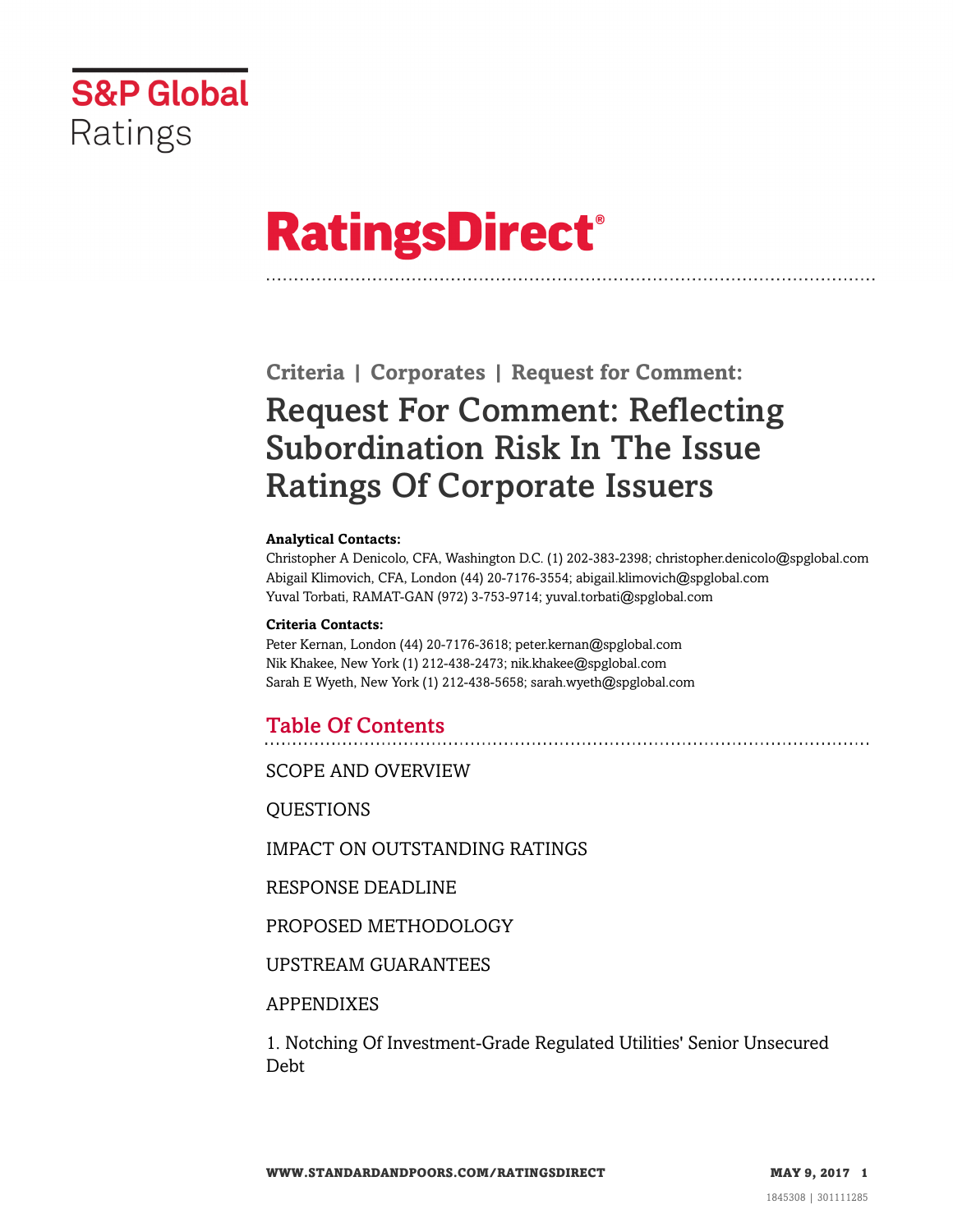

# **RatingsDirect®**

# **Criteria | Corporates | Request for Comment:** Request For Comment: Reflecting Subordination Risk In The Issue Ratings Of Corporate Issuers

#### **Analytical Contacts:**

Christopher A Denicolo, CFA, Washington D.C. (1) 202-383-2398; christopher.denicolo@spglobal.com Abigail Klimovich, CFA, London (44) 20-7176-3554; abigail.klimovich@spglobal.com Yuval Torbati, RAMAT-GAN (972) 3-753-9714; yuval.torbati@spglobal.com

#### **Criteria Contacts:**

Peter Kernan, London (44) 20-7176-3618; peter.kernan@spglobal.com Nik Khakee, New York (1) 212-438-2473; nik.khakee@spglobal.com Sarah E Wyeth, New York (1) 212-438-5658; sarah.wyeth@spglobal.com

## Table Of Contents

[SCOPE AND OVERVIEW](#page-2-0)

[QUESTIONS](#page-3-0)

[IMPACT ON OUTSTANDING RATINGS](#page-4-0)

[RESPONSE DEADLINE](#page-4-1)

[PROPOSED METHODOLOGY](#page-4-2)

[UPSTREAM GUARANTEES](#page-8-0)

## [APPENDIXES](#page-9-0)

[1. Notching Of Investment-Grade Regulated Utilities' Senior Unsecured](#page-9-1) [Debt](#page-9-1)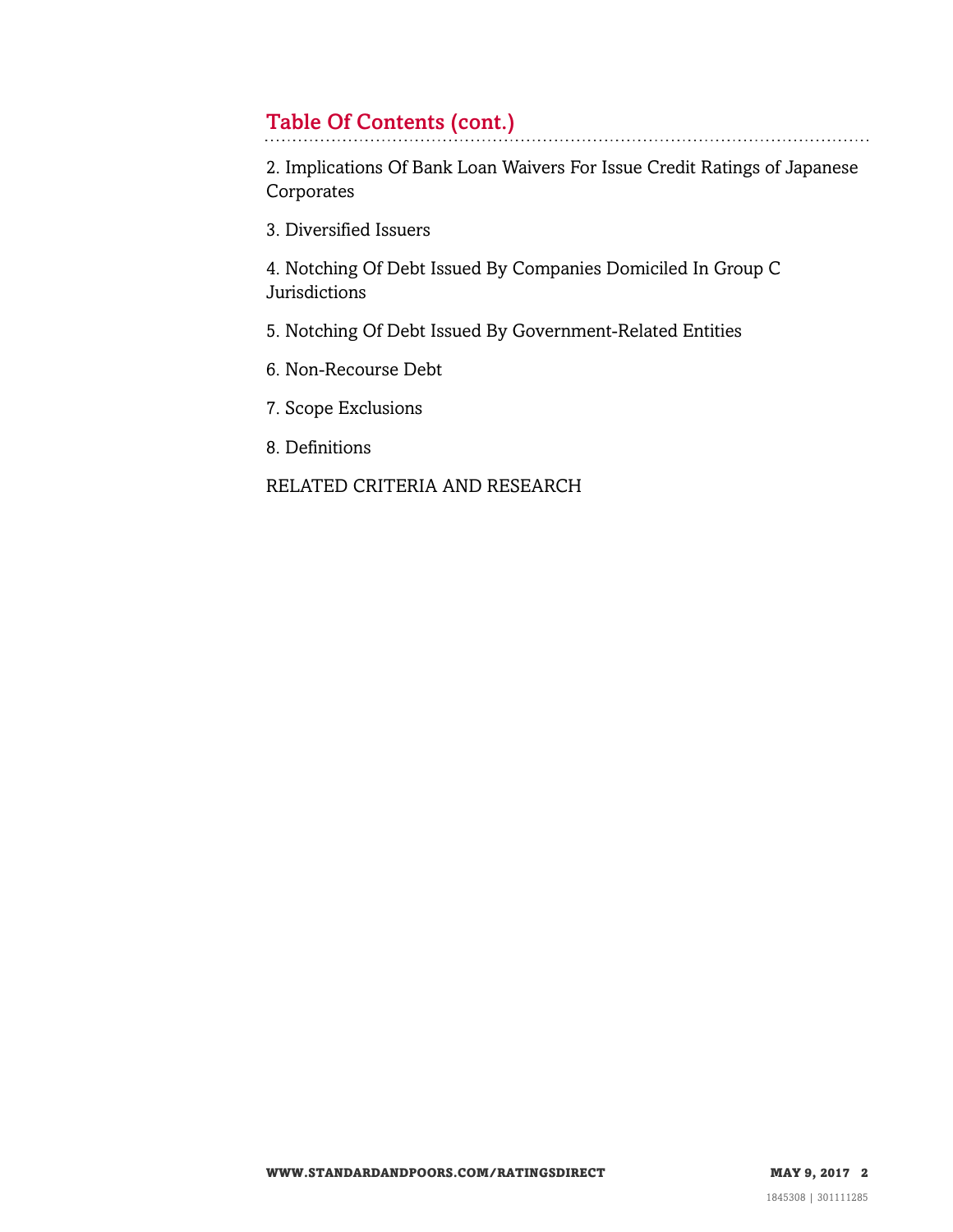# Table Of Contents (cont.)

[2. Implications Of Bank Loan Waivers For Issue Credit Ratings of Japanese](#page-10-0) [Corporates](#page-10-0)

[3. Diversified Issuers](#page-10-1)

[4. Notching Of Debt Issued By Companies Domiciled In Group C](#page-11-0) **[Jurisdictions](#page-11-0)** 

[5. Notching Of Debt Issued By Government-Related Entities](#page-11-1)

[6. Non-Recourse Debt](#page-12-0)

[7. Scope Exclusions](#page-12-1)

[8. Definitions](#page-13-0)

[RELATED CRITERIA AND RESEARCH](#page-13-1)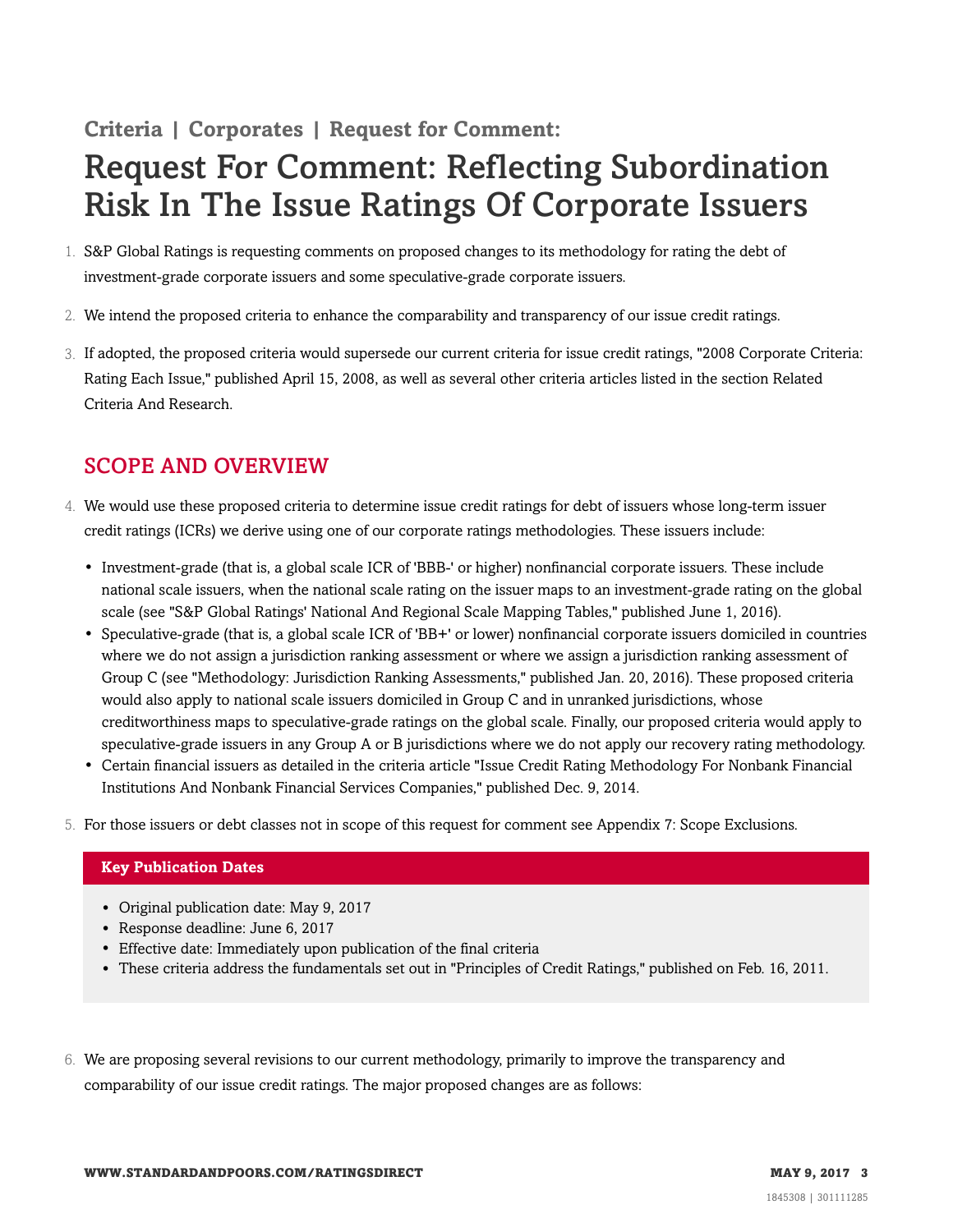# **Criteria | Corporates | Request for Comment:**

# Request For Comment: Reflecting Subordination Risk In The Issue Ratings Of Corporate Issuers

- 1. S&P Global Ratings is requesting comments on proposed changes to its methodology for rating the debt of investment-grade corporate issuers and some speculative-grade corporate issuers.
- 2. We intend the proposed criteria to enhance the comparability and transparency of our issue credit ratings.
- 3. If adopted, the proposed criteria would supersede our current criteria for issue credit ratings, "2008 Corporate Criteria: Rating Each Issue," published April 15, 2008, as well as several other criteria articles listed in the section Related Criteria And Research.

# <span id="page-2-0"></span>SCOPE AND OVERVIEW

- 4. We would use these proposed criteria to determine issue credit ratings for debt of issuers whose long-term issuer credit ratings (ICRs) we derive using one of our corporate ratings methodologies. These issuers include:
	- Investment-grade (that is, a global scale ICR of 'BBB-' or higher) nonfinancial corporate issuers. These include national scale issuers, when the national scale rating on the issuer maps to an investment-grade rating on the global scale (see "S&P Global Ratings' National And Regional Scale Mapping Tables," published June 1, 2016).
	- Speculative-grade (that is, a global scale ICR of 'BB+' or lower) nonfinancial corporate issuers domiciled in countries where we do not assign a jurisdiction ranking assessment or where we assign a jurisdiction ranking assessment of Group C (see "Methodology: Jurisdiction Ranking Assessments," published Jan. 20, 2016). These proposed criteria would also apply to national scale issuers domiciled in Group C and in unranked jurisdictions, whose creditworthiness maps to speculative-grade ratings on the global scale. Finally, our proposed criteria would apply to speculative-grade issuers in any Group A or B jurisdictions where we do not apply our recovery rating methodology.
	- Certain financial issuers as detailed in the criteria article "Issue Credit Rating Methodology For Nonbank Financial Institutions And Nonbank Financial Services Companies," published Dec. 9, 2014.
- 5. For those issuers or debt classes not in scope of this request for comment see Appendix 7: Scope Exclusions.

## **Key Publication Dates**

- Original publication date: May 9, 2017
- Response deadline: June 6, 2017
- Effective date: Immediately upon publication of the final criteria
- These criteria address the fundamentals set out in "Principles of Credit Ratings," published on Feb. 16, 2011.
- 6. We are proposing several revisions to our current methodology, primarily to improve the transparency and comparability of our issue credit ratings. The major proposed changes are as follows: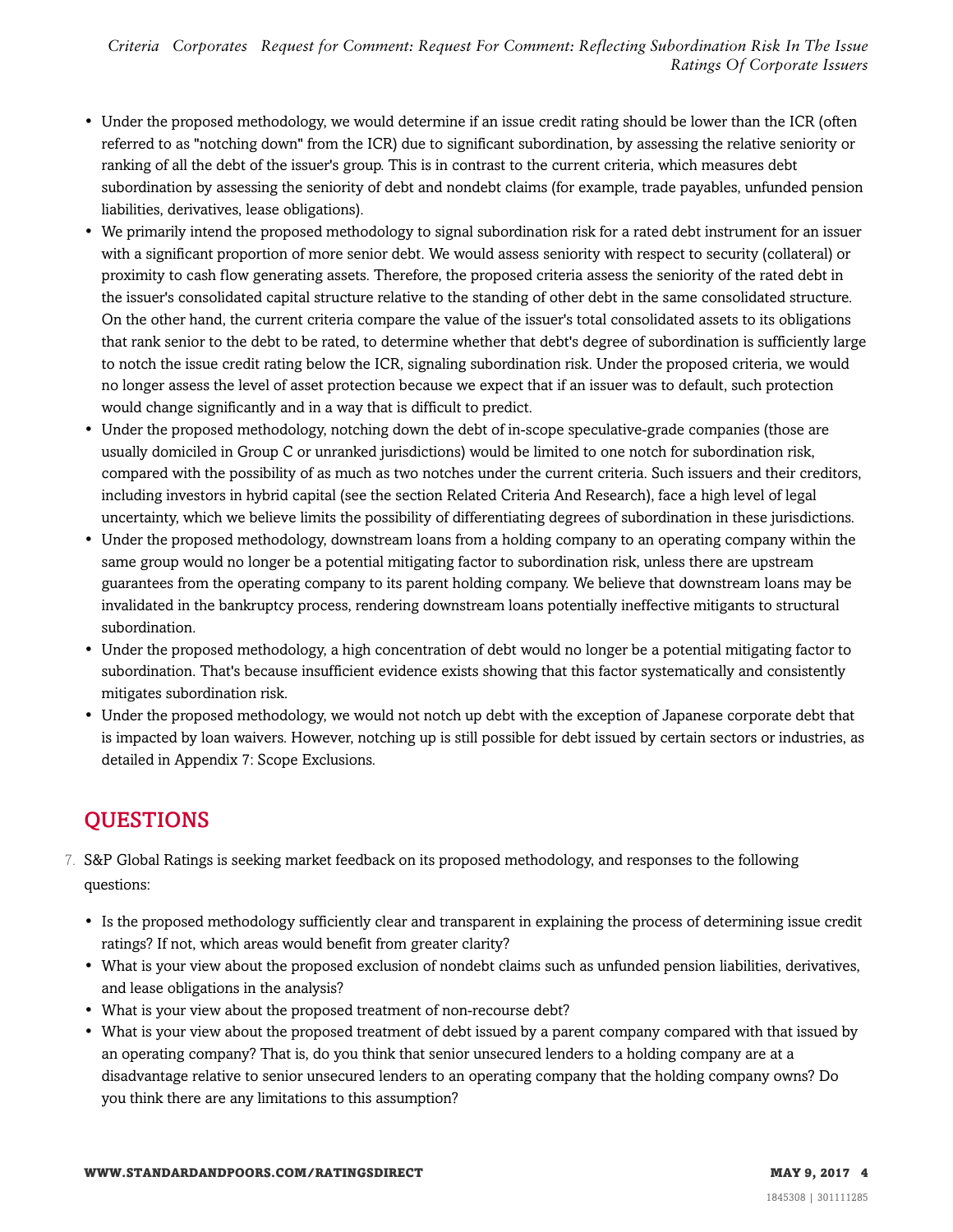- Under the proposed methodology, we would determine if an issue credit rating should be lower than the ICR (often referred to as "notching down" from the ICR) due to significant subordination, by assessing the relative seniority or ranking of all the debt of the issuer's group. This is in contrast to the current criteria, which measures debt subordination by assessing the seniority of debt and nondebt claims (for example, trade payables, unfunded pension liabilities, derivatives, lease obligations).
- We primarily intend the proposed methodology to signal subordination risk for a rated debt instrument for an issuer with a significant proportion of more senior debt. We would assess seniority with respect to security (collateral) or proximity to cash flow generating assets. Therefore, the proposed criteria assess the seniority of the rated debt in the issuer's consolidated capital structure relative to the standing of other debt in the same consolidated structure. On the other hand, the current criteria compare the value of the issuer's total consolidated assets to its obligations that rank senior to the debt to be rated, to determine whether that debt's degree of subordination is sufficiently large to notch the issue credit rating below the ICR, signaling subordination risk. Under the proposed criteria, we would no longer assess the level of asset protection because we expect that if an issuer was to default, such protection would change significantly and in a way that is difficult to predict.
- Under the proposed methodology, notching down the debt of in-scope speculative-grade companies (those are usually domiciled in Group C or unranked jurisdictions) would be limited to one notch for subordination risk, compared with the possibility of as much as two notches under the current criteria. Such issuers and their creditors, including investors in hybrid capital (see the section Related Criteria And Research), face a high level of legal uncertainty, which we believe limits the possibility of differentiating degrees of subordination in these jurisdictions.
- Under the proposed methodology, downstream loans from a holding company to an operating company within the same group would no longer be a potential mitigating factor to subordination risk, unless there are upstream guarantees from the operating company to its parent holding company. We believe that downstream loans may be invalidated in the bankruptcy process, rendering downstream loans potentially ineffective mitigants to structural subordination.
- Under the proposed methodology, a high concentration of debt would no longer be a potential mitigating factor to subordination. That's because insufficient evidence exists showing that this factor systematically and consistently mitigates subordination risk.
- Under the proposed methodology, we would not notch up debt with the exception of Japanese corporate debt that is impacted by loan waivers. However, notching up is still possible for debt issued by certain sectors or industries, as detailed in Appendix 7: Scope Exclusions.

# <span id="page-3-0"></span>QUESTIONS

- 7. S&P Global Ratings is seeking market feedback on its proposed methodology, and responses to the following questions:
	- Is the proposed methodology sufficiently clear and transparent in explaining the process of determining issue credit ratings? If not, which areas would benefit from greater clarity?
	- What is your view about the proposed exclusion of nondebt claims such as unfunded pension liabilities, derivatives, and lease obligations in the analysis?
	- What is your view about the proposed treatment of non-recourse debt?
	- What is your view about the proposed treatment of debt issued by a parent company compared with that issued by an operating company? That is, do you think that senior unsecured lenders to a holding company are at a disadvantage relative to senior unsecured lenders to an operating company that the holding company owns? Do you think there are any limitations to this assumption?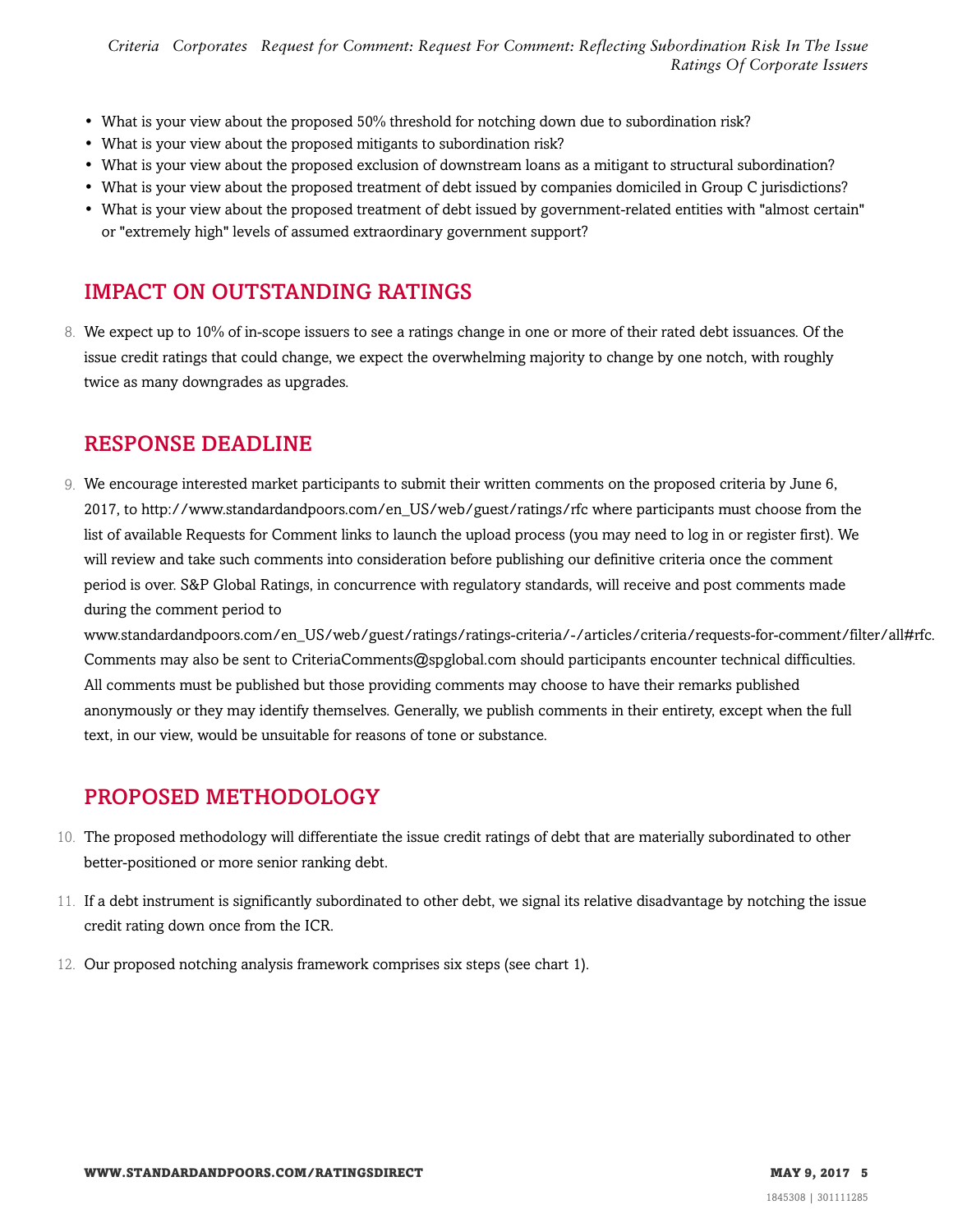*Criteria Corporates Request for Comment: Request For Comment: Reflecting Subordination Risk In The Issue Ratings Of Corporate Issuers*

- What is your view about the proposed 50% threshold for notching down due to subordination risk?
- What is your view about the proposed mitigants to subordination risk?
- What is your view about the proposed exclusion of downstream loans as a mitigant to structural subordination?
- What is your view about the proposed treatment of debt issued by companies domiciled in Group C jurisdictions?
- What is your view about the proposed treatment of debt issued by government-related entities with "almost certain" or "extremely high" levels of assumed extraordinary government support?

# <span id="page-4-0"></span>IMPACT ON OUTSTANDING RATINGS

8. We expect up to 10% of in-scope issuers to see a ratings change in one or more of their rated debt issuances. Of the issue credit ratings that could change, we expect the overwhelming majority to change by one notch, with roughly twice as many downgrades as upgrades.

## <span id="page-4-1"></span>RESPONSE DEADLINE

9. We encourage interested market participants to submit their written comments on the proposed criteria by June 6, 2017, to http://www.standardandpoors.com/en\_US/web/guest/ratings/rfc where participants must choose from the list of available Requests for Comment links to launch the upload process (you may need to log in or register first). We will review and take such comments into consideration before publishing our definitive criteria once the comment period is over. S&P Global Ratings, in concurrence with regulatory standards, will receive and post comments made during the comment period to

www.standardandpoors.com/en\_US/web/guest/ratings/ratings-criteria/-/articles/criteria/requests-for-comment/filter/all#rfc. Comments may also be sent to CriteriaComments@spglobal.com should participants encounter technical difficulties. All comments must be published but those providing comments may choose to have their remarks published anonymously or they may identify themselves. Generally, we publish comments in their entirety, except when the full text, in our view, would be unsuitable for reasons of tone or substance.

# <span id="page-4-2"></span>PROPOSED METHODOLOGY

- 10. The proposed methodology will differentiate the issue credit ratings of debt that are materially subordinated to other better-positioned or more senior ranking debt.
- 11. If a debt instrument is significantly subordinated to other debt, we signal its relative disadvantage by notching the issue credit rating down once from the ICR.
- 12. Our proposed notching analysis framework comprises six steps (see chart 1).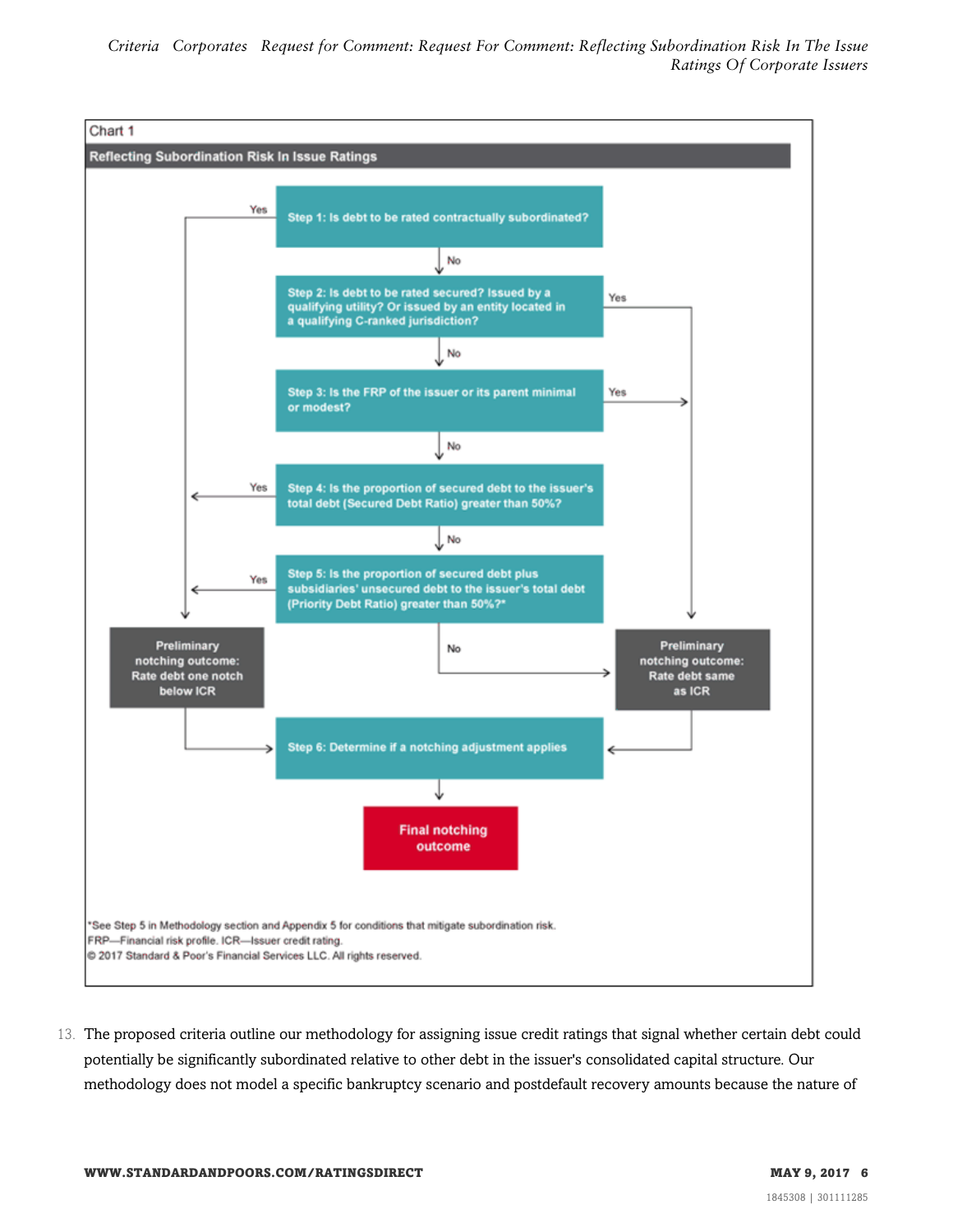

13. The proposed criteria outline our methodology for assigning issue credit ratings that signal whether certain debt could potentially be significantly subordinated relative to other debt in the issuer's consolidated capital structure. Our methodology does not model a specific bankruptcy scenario and postdefault recovery amounts because the nature of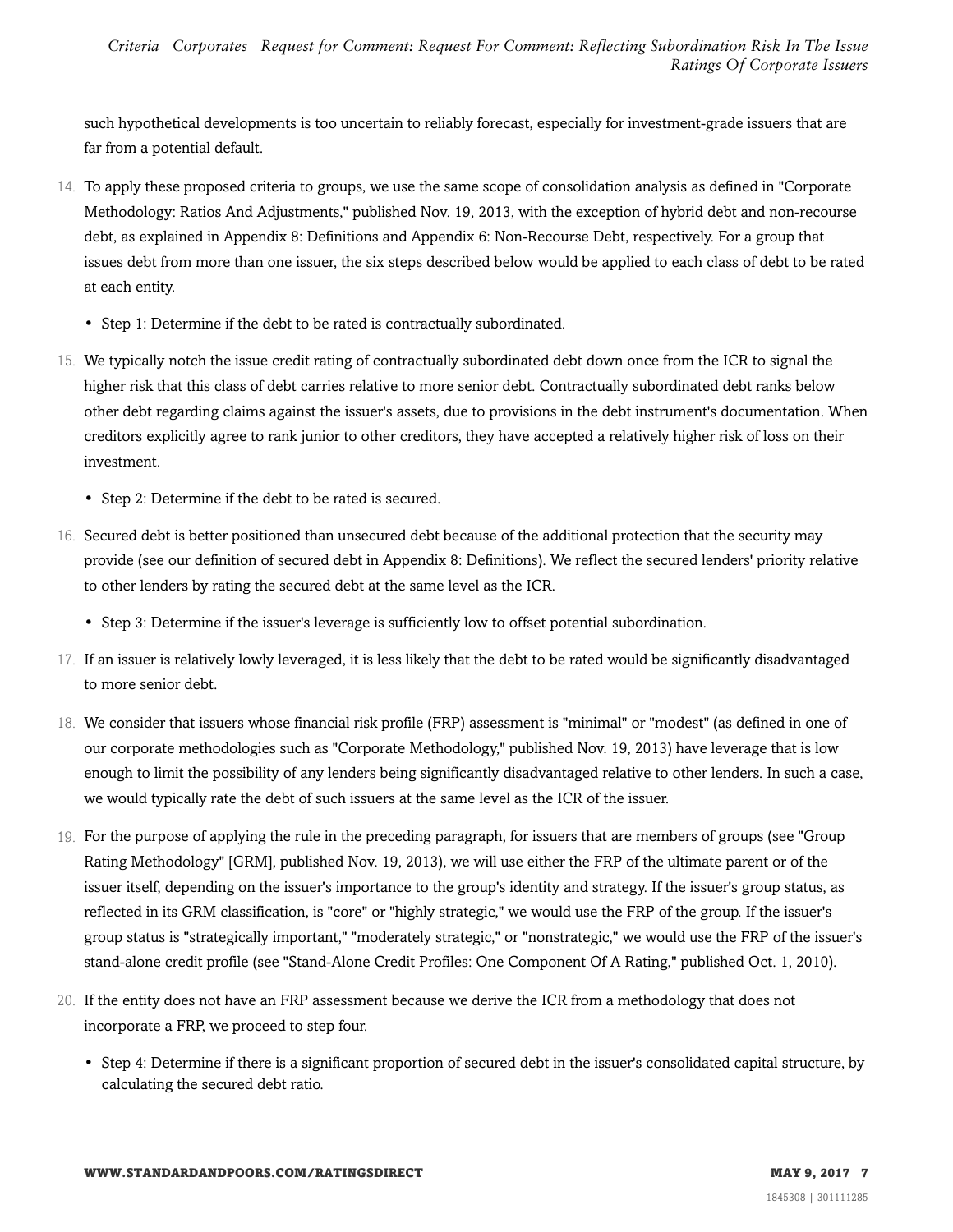such hypothetical developments is too uncertain to reliably forecast, especially for investment-grade issuers that are far from a potential default.

- 14. To apply these proposed criteria to groups, we use the same scope of consolidation analysis as defined in "Corporate Methodology: Ratios And Adjustments," published Nov. 19, 2013, with the exception of hybrid debt and non-recourse debt, as explained in Appendix 8: Definitions and Appendix 6: Non-Recourse Debt, respectively. For a group that issues debt from more than one issuer, the six steps described below would be applied to each class of debt to be rated at each entity.
	- Step 1: Determine if the debt to be rated is contractually subordinated.
- 15. We typically notch the issue credit rating of contractually subordinated debt down once from the ICR to signal the higher risk that this class of debt carries relative to more senior debt. Contractually subordinated debt ranks below other debt regarding claims against the issuer's assets, due to provisions in the debt instrument's documentation. When creditors explicitly agree to rank junior to other creditors, they have accepted a relatively higher risk of loss on their investment.
	- Step 2: Determine if the debt to be rated is secured.
- 16. Secured debt is better positioned than unsecured debt because of the additional protection that the security may provide (see our definition of secured debt in Appendix 8: Definitions). We reflect the secured lenders' priority relative to other lenders by rating the secured debt at the same level as the ICR.
	- Step 3: Determine if the issuer's leverage is sufficiently low to offset potential subordination.
- 17. If an issuer is relatively lowly leveraged, it is less likely that the debt to be rated would be significantly disadvantaged to more senior debt.
- 18. We consider that issuers whose financial risk profile (FRP) assessment is "minimal" or "modest" (as defined in one of our corporate methodologies such as "Corporate Methodology," published Nov. 19, 2013) have leverage that is low enough to limit the possibility of any lenders being significantly disadvantaged relative to other lenders. In such a case, we would typically rate the debt of such issuers at the same level as the ICR of the issuer.
- 19. For the purpose of applying the rule in the preceding paragraph, for issuers that are members of groups (see "Group Rating Methodology" [GRM], published Nov. 19, 2013), we will use either the FRP of the ultimate parent or of the issuer itself, depending on the issuer's importance to the group's identity and strategy. If the issuer's group status, as reflected in its GRM classification, is "core" or "highly strategic," we would use the FRP of the group. If the issuer's group status is "strategically important," "moderately strategic," or "nonstrategic," we would use the FRP of the issuer's stand-alone credit profile (see "Stand-Alone Credit Profiles: One Component Of A Rating," published Oct. 1, 2010).
- 20. If the entity does not have an FRP assessment because we derive the ICR from a methodology that does not incorporate a FRP, we proceed to step four.
	- Step 4: Determine if there is a significant proportion of secured debt in the issuer's consolidated capital structure, by calculating the secured debt ratio.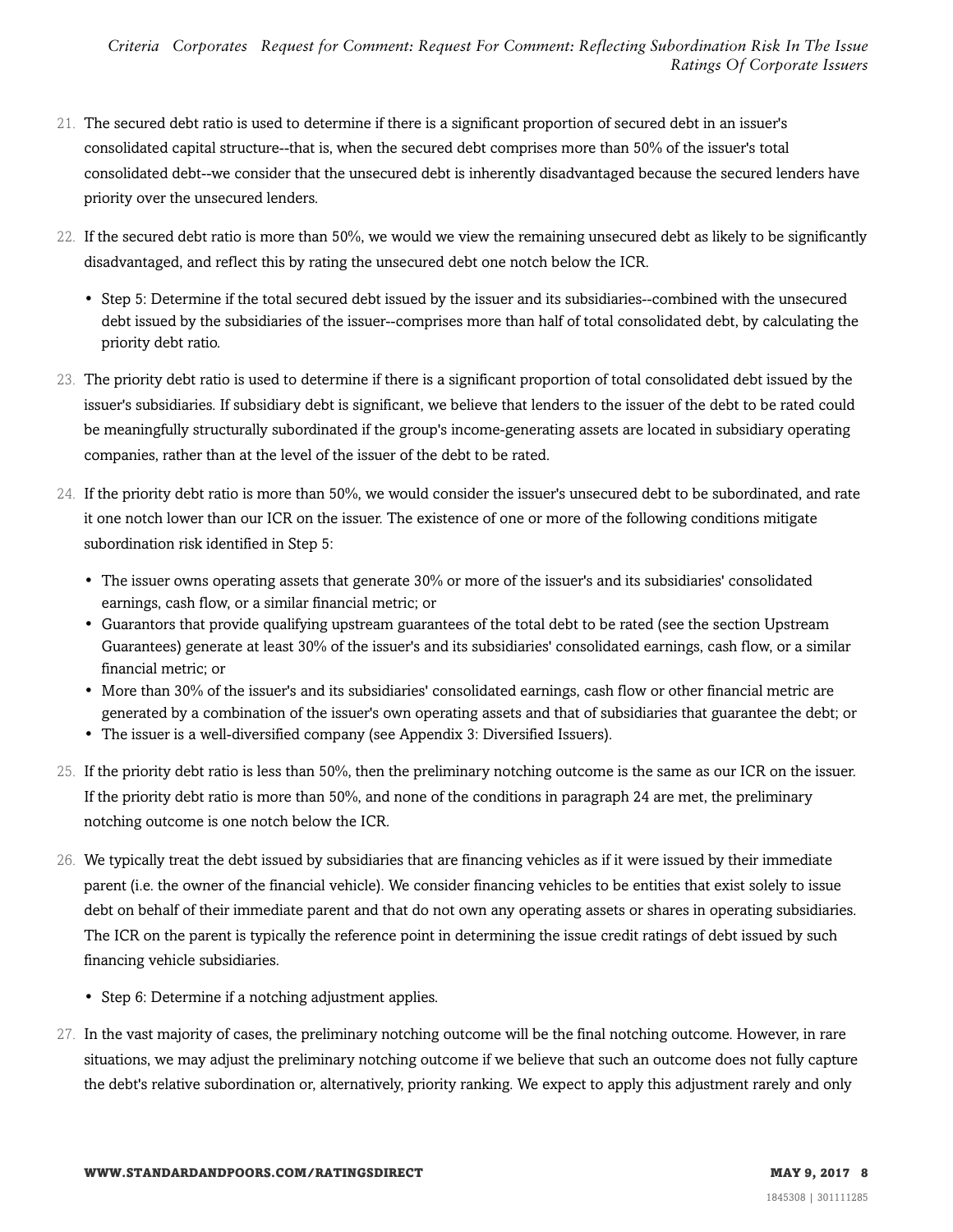- 21. The secured debt ratio is used to determine if there is a significant proportion of secured debt in an issuer's consolidated capital structure--that is, when the secured debt comprises more than 50% of the issuer's total consolidated debt--we consider that the unsecured debt is inherently disadvantaged because the secured lenders have priority over the unsecured lenders.
- 22. If the secured debt ratio is more than 50%, we would we view the remaining unsecured debt as likely to be significantly disadvantaged, and reflect this by rating the unsecured debt one notch below the ICR.
	- Step 5: Determine if the total secured debt issued by the issuer and its subsidiaries--combined with the unsecured debt issued by the subsidiaries of the issuer--comprises more than half of total consolidated debt, by calculating the priority debt ratio.
- 23. The priority debt ratio is used to determine if there is a significant proportion of total consolidated debt issued by the issuer's subsidiaries. If subsidiary debt is significant, we believe that lenders to the issuer of the debt to be rated could be meaningfully structurally subordinated if the group's income-generating assets are located in subsidiary operating companies, rather than at the level of the issuer of the debt to be rated.
- 24. If the priority debt ratio is more than 50%, we would consider the issuer's unsecured debt to be subordinated, and rate it one notch lower than our ICR on the issuer. The existence of one or more of the following conditions mitigate subordination risk identified in Step 5:
	- The issuer owns operating assets that generate 30% or more of the issuer's and its subsidiaries' consolidated earnings, cash flow, or a similar financial metric; or
	- Guarantors that provide qualifying upstream guarantees of the total debt to be rated (see the section Upstream Guarantees) generate at least 30% of the issuer's and its subsidiaries' consolidated earnings, cash flow, or a similar financial metric; or
	- More than 30% of the issuer's and its subsidiaries' consolidated earnings, cash flow or other financial metric are generated by a combination of the issuer's own operating assets and that of subsidiaries that guarantee the debt; or
	- The issuer is a well-diversified company (see Appendix 3: Diversified Issuers).
- 25. If the priority debt ratio is less than 50%, then the preliminary notching outcome is the same as our ICR on the issuer. If the priority debt ratio is more than 50%, and none of the conditions in paragraph 24 are met, the preliminary notching outcome is one notch below the ICR.
- 26. We typically treat the debt issued by subsidiaries that are financing vehicles as if it were issued by their immediate parent (i.e. the owner of the financial vehicle). We consider financing vehicles to be entities that exist solely to issue debt on behalf of their immediate parent and that do not own any operating assets or shares in operating subsidiaries. The ICR on the parent is typically the reference point in determining the issue credit ratings of debt issued by such financing vehicle subsidiaries.
	- Step 6: Determine if a notching adjustment applies.
- 27. In the vast majority of cases, the preliminary notching outcome will be the final notching outcome. However, in rare situations, we may adjust the preliminary notching outcome if we believe that such an outcome does not fully capture the debt's relative subordination or, alternatively, priority ranking. We expect to apply this adjustment rarely and only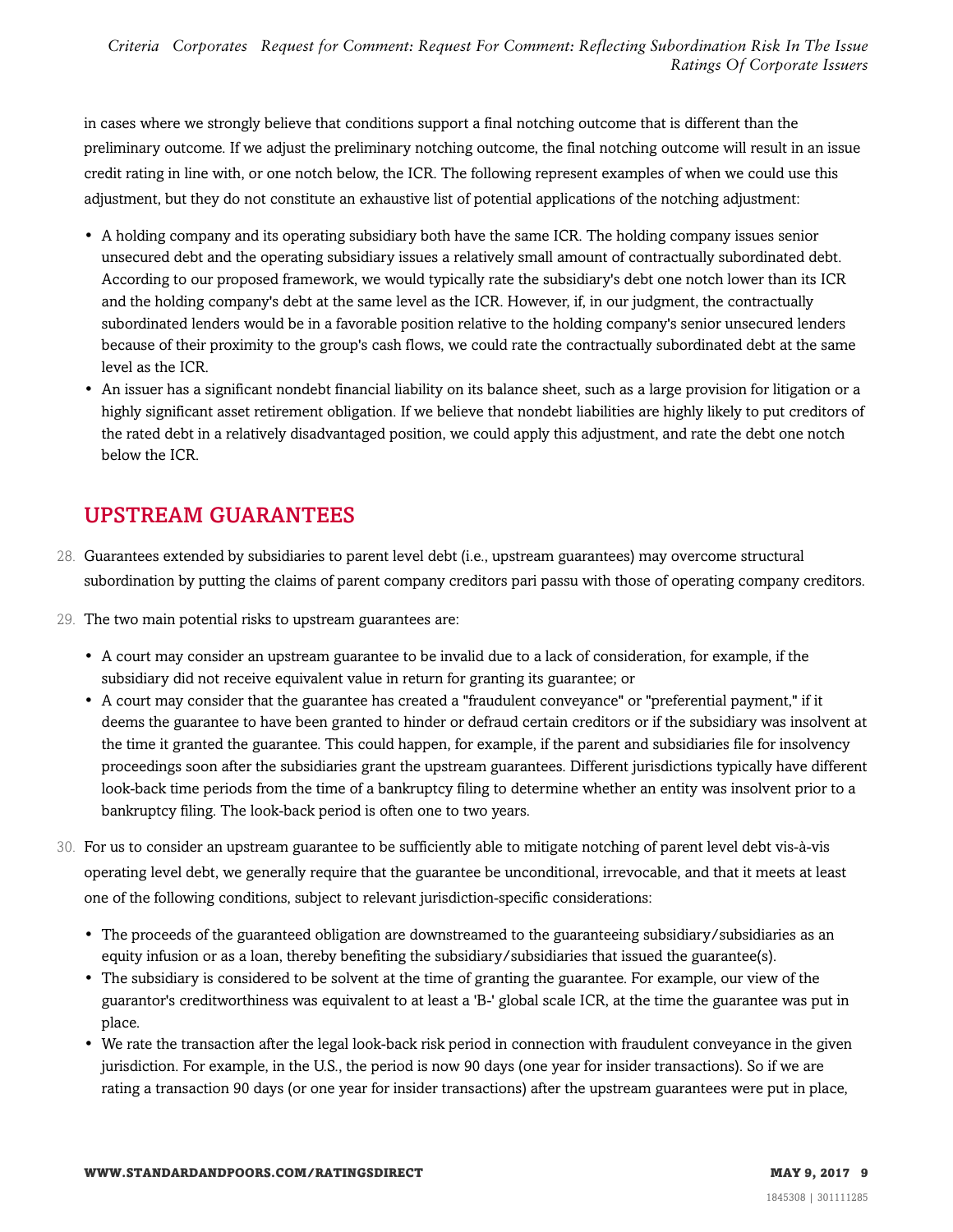in cases where we strongly believe that conditions support a final notching outcome that is different than the preliminary outcome. If we adjust the preliminary notching outcome, the final notching outcome will result in an issue credit rating in line with, or one notch below, the ICR. The following represent examples of when we could use this adjustment, but they do not constitute an exhaustive list of potential applications of the notching adjustment:

- A holding company and its operating subsidiary both have the same ICR. The holding company issues senior unsecured debt and the operating subsidiary issues a relatively small amount of contractually subordinated debt. According to our proposed framework, we would typically rate the subsidiary's debt one notch lower than its ICR and the holding company's debt at the same level as the ICR. However, if, in our judgment, the contractually subordinated lenders would be in a favorable position relative to the holding company's senior unsecured lenders because of their proximity to the group's cash flows, we could rate the contractually subordinated debt at the same level as the ICR.
- An issuer has a significant nondebt financial liability on its balance sheet, such as a large provision for litigation or a highly significant asset retirement obligation. If we believe that nondebt liabilities are highly likely to put creditors of the rated debt in a relatively disadvantaged position, we could apply this adjustment, and rate the debt one notch below the ICR.

# <span id="page-8-0"></span>UPSTREAM GUARANTEES

- 28. Guarantees extended by subsidiaries to parent level debt (i.e., upstream guarantees) may overcome structural subordination by putting the claims of parent company creditors pari passu with those of operating company creditors.
- 29. The two main potential risks to upstream guarantees are:
	- A court may consider an upstream guarantee to be invalid due to a lack of consideration, for example, if the subsidiary did not receive equivalent value in return for granting its guarantee; or
	- A court may consider that the guarantee has created a "fraudulent conveyance" or "preferential payment," if it deems the guarantee to have been granted to hinder or defraud certain creditors or if the subsidiary was insolvent at the time it granted the guarantee. This could happen, for example, if the parent and subsidiaries file for insolvency proceedings soon after the subsidiaries grant the upstream guarantees. Different jurisdictions typically have different look-back time periods from the time of a bankruptcy filing to determine whether an entity was insolvent prior to a bankruptcy filing. The look-back period is often one to two years.
- 30. For us to consider an upstream guarantee to be sufficiently able to mitigate notching of parent level debt vis-à-vis operating level debt, we generally require that the guarantee be unconditional, irrevocable, and that it meets at least one of the following conditions, subject to relevant jurisdiction-specific considerations:
	- The proceeds of the guaranteed obligation are downstreamed to the guaranteeing subsidiary/subsidiaries as an equity infusion or as a loan, thereby benefiting the subsidiary/subsidiaries that issued the guarantee(s).
	- The subsidiary is considered to be solvent at the time of granting the guarantee. For example, our view of the guarantor's creditworthiness was equivalent to at least a 'B-' global scale ICR, at the time the guarantee was put in place.
	- We rate the transaction after the legal look-back risk period in connection with fraudulent conveyance in the given jurisdiction. For example, in the U.S., the period is now 90 days (one year for insider transactions). So if we are rating a transaction 90 days (or one year for insider transactions) after the upstream guarantees were put in place,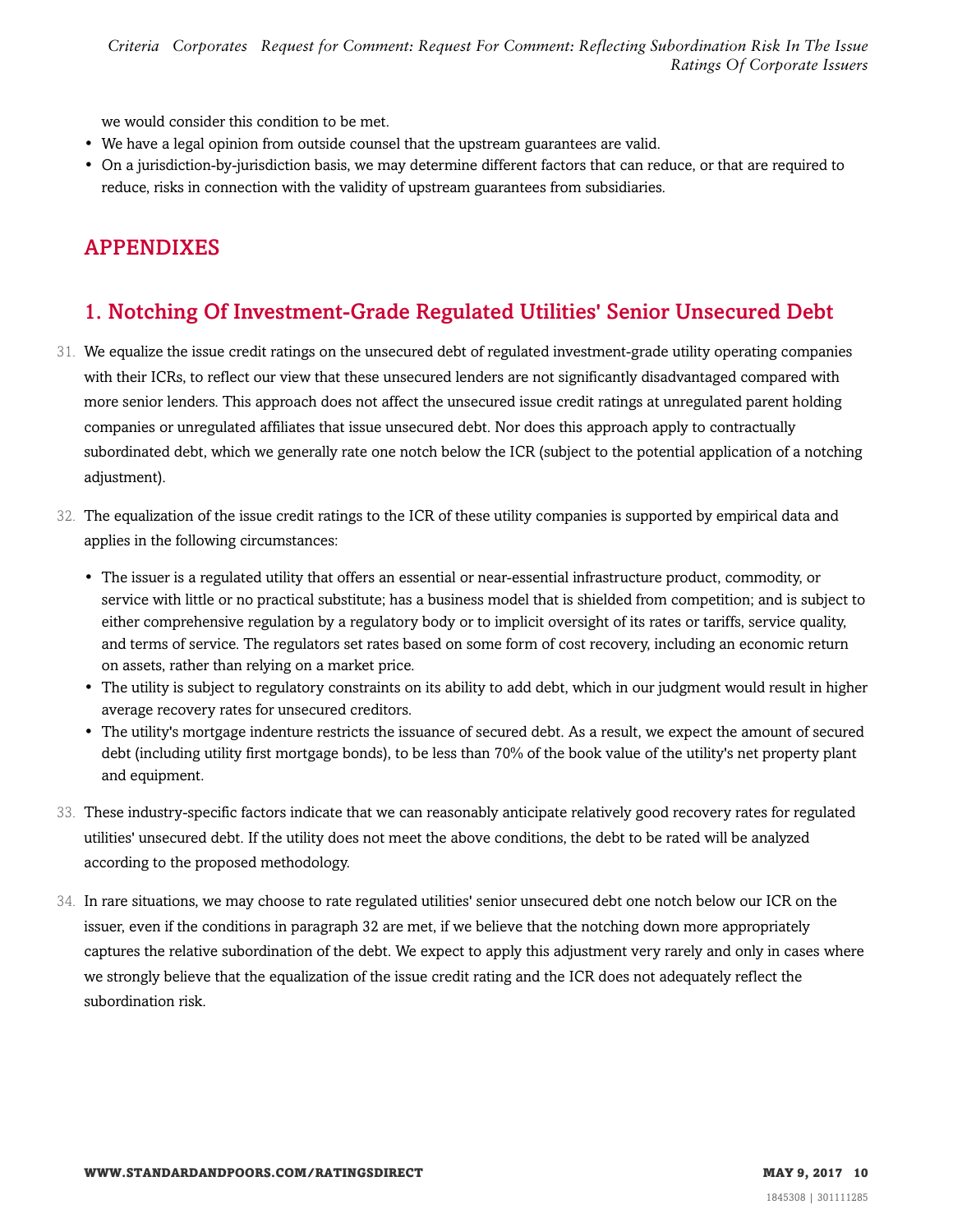*Criteria Corporates Request for Comment: Request For Comment: Reflecting Subordination Risk In The Issue Ratings Of Corporate Issuers*

we would consider this condition to be met.

- We have a legal opinion from outside counsel that the upstream guarantees are valid.
- On a jurisdiction-by-jurisdiction basis, we may determine different factors that can reduce, or that are required to reduce, risks in connection with the validity of upstream guarantees from subsidiaries.

# <span id="page-9-0"></span>APPENDIXES

# <span id="page-9-1"></span>1. Notching Of Investment-Grade Regulated Utilities' Senior Unsecured Debt

- 31. We equalize the issue credit ratings on the unsecured debt of regulated investment-grade utility operating companies with their ICRs, to reflect our view that these unsecured lenders are not significantly disadvantaged compared with more senior lenders. This approach does not affect the unsecured issue credit ratings at unregulated parent holding companies or unregulated affiliates that issue unsecured debt. Nor does this approach apply to contractually subordinated debt, which we generally rate one notch below the ICR (subject to the potential application of a notching adjustment).
- 32. The equalization of the issue credit ratings to the ICR of these utility companies is supported by empirical data and applies in the following circumstances:
	- The issuer is a regulated utility that offers an essential or near-essential infrastructure product, commodity, or service with little or no practical substitute; has a business model that is shielded from competition; and is subject to either comprehensive regulation by a regulatory body or to implicit oversight of its rates or tariffs, service quality, and terms of service. The regulators set rates based on some form of cost recovery, including an economic return on assets, rather than relying on a market price.
	- The utility is subject to regulatory constraints on its ability to add debt, which in our judgment would result in higher average recovery rates for unsecured creditors.
	- The utility's mortgage indenture restricts the issuance of secured debt. As a result, we expect the amount of secured debt (including utility first mortgage bonds), to be less than 70% of the book value of the utility's net property plant and equipment.
- 33. These industry-specific factors indicate that we can reasonably anticipate relatively good recovery rates for regulated utilities' unsecured debt. If the utility does not meet the above conditions, the debt to be rated will be analyzed according to the proposed methodology.
- 34. In rare situations, we may choose to rate regulated utilities' senior unsecured debt one notch below our ICR on the issuer, even if the conditions in paragraph 32 are met, if we believe that the notching down more appropriately captures the relative subordination of the debt. We expect to apply this adjustment very rarely and only in cases where we strongly believe that the equalization of the issue credit rating and the ICR does not adequately reflect the subordination risk.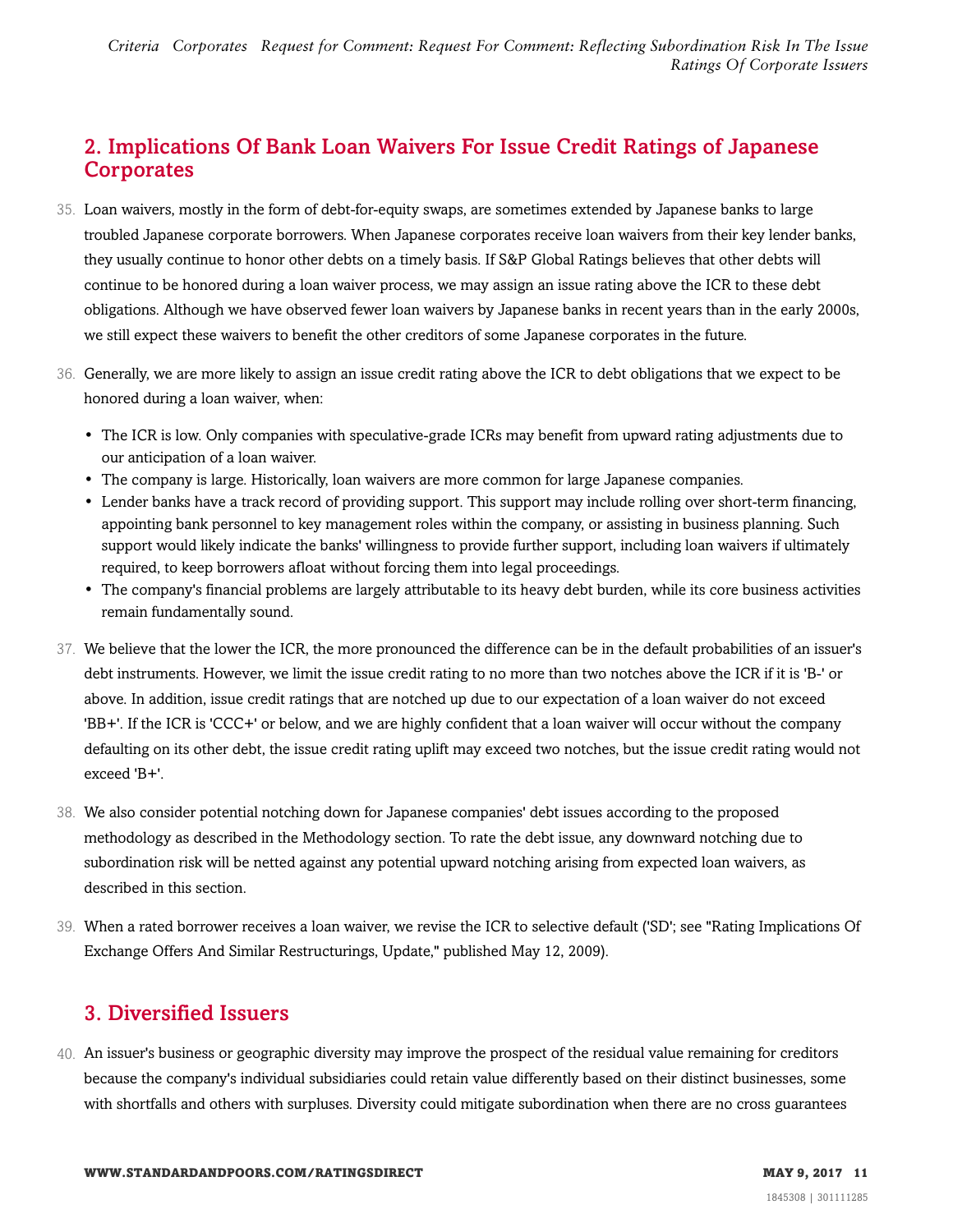# <span id="page-10-0"></span>2. Implications Of Bank Loan Waivers For Issue Credit Ratings of Japanese **Corporates**

- 35. Loan waivers, mostly in the form of debt-for-equity swaps, are sometimes extended by Japanese banks to large troubled Japanese corporate borrowers. When Japanese corporates receive loan waivers from their key lender banks, they usually continue to honor other debts on a timely basis. If S&P Global Ratings believes that other debts will continue to be honored during a loan waiver process, we may assign an issue rating above the ICR to these debt obligations. Although we have observed fewer loan waivers by Japanese banks in recent years than in the early 2000s, we still expect these waivers to benefit the other creditors of some Japanese corporates in the future.
- 36. Generally, we are more likely to assign an issue credit rating above the ICR to debt obligations that we expect to be honored during a loan waiver, when:
	- The ICR is low. Only companies with speculative-grade ICRs may benefit from upward rating adjustments due to our anticipation of a loan waiver.
	- The company is large. Historically, loan waivers are more common for large Japanese companies.
	- Lender banks have a track record of providing support. This support may include rolling over short-term financing, appointing bank personnel to key management roles within the company, or assisting in business planning. Such support would likely indicate the banks' willingness to provide further support, including loan waivers if ultimately required, to keep borrowers afloat without forcing them into legal proceedings.
	- The company's financial problems are largely attributable to its heavy debt burden, while its core business activities remain fundamentally sound.
- 37. We believe that the lower the ICR, the more pronounced the difference can be in the default probabilities of an issuer's debt instruments. However, we limit the issue credit rating to no more than two notches above the ICR if it is 'B-' or above. In addition, issue credit ratings that are notched up due to our expectation of a loan waiver do not exceed 'BB+'. If the ICR is 'CCC+' or below, and we are highly confident that a loan waiver will occur without the company defaulting on its other debt, the issue credit rating uplift may exceed two notches, but the issue credit rating would not exceed 'B+'.
- 38. We also consider potential notching down for Japanese companies' debt issues according to the proposed methodology as described in the Methodology section. To rate the debt issue, any downward notching due to subordination risk will be netted against any potential upward notching arising from expected loan waivers, as described in this section.
- 39. When a rated borrower receives a loan waiver, we revise the ICR to selective default ('SD'; see "Rating Implications Of Exchange Offers And Similar Restructurings, Update," published May 12, 2009).

## <span id="page-10-1"></span>3. Diversified Issuers

40. An issuer's business or geographic diversity may improve the prospect of the residual value remaining for creditors because the company's individual subsidiaries could retain value differently based on their distinct businesses, some with shortfalls and others with surpluses. Diversity could mitigate subordination when there are no cross guarantees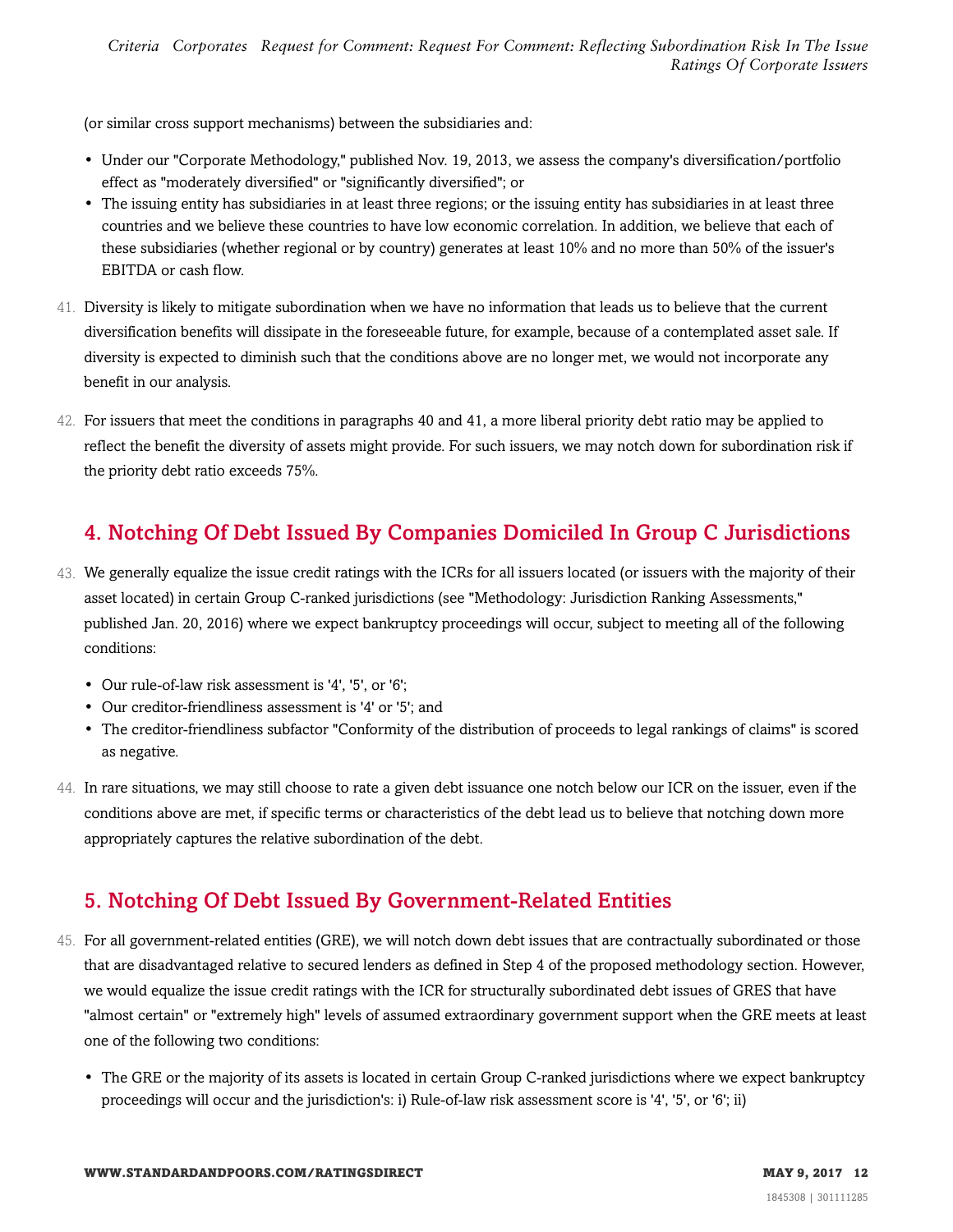(or similar cross support mechanisms) between the subsidiaries and:

- Under our "Corporate Methodology," published Nov. 19, 2013, we assess the company's diversification/portfolio effect as "moderately diversified" or "significantly diversified"; or
- The issuing entity has subsidiaries in at least three regions; or the issuing entity has subsidiaries in at least three countries and we believe these countries to have low economic correlation. In addition, we believe that each of these subsidiaries (whether regional or by country) generates at least 10% and no more than 50% of the issuer's EBITDA or cash flow.
- 41. Diversity is likely to mitigate subordination when we have no information that leads us to believe that the current diversification benefits will dissipate in the foreseeable future, for example, because of a contemplated asset sale. If diversity is expected to diminish such that the conditions above are no longer met, we would not incorporate any benefit in our analysis.
- 42. For issuers that meet the conditions in paragraphs 40 and 41, a more liberal priority debt ratio may be applied to reflect the benefit the diversity of assets might provide. For such issuers, we may notch down for subordination risk if the priority debt ratio exceeds 75%.

# <span id="page-11-0"></span>4. Notching Of Debt Issued By Companies Domiciled In Group C Jurisdictions

- 43. We generally equalize the issue credit ratings with the ICRs for all issuers located (or issuers with the majority of their asset located) in certain Group C-ranked jurisdictions (see "Methodology: Jurisdiction Ranking Assessments," published Jan. 20, 2016) where we expect bankruptcy proceedings will occur, subject to meeting all of the following conditions:
	- Our rule-of-law risk assessment is '4', '5', or '6';
	- Our creditor-friendliness assessment is '4' or '5'; and
	- The creditor-friendliness subfactor "Conformity of the distribution of proceeds to legal rankings of claims" is scored as negative.
- 44. In rare situations, we may still choose to rate a given debt issuance one notch below our ICR on the issuer, even if the conditions above are met, if specific terms or characteristics of the debt lead us to believe that notching down more appropriately captures the relative subordination of the debt.

# <span id="page-11-1"></span>5. Notching Of Debt Issued By Government-Related Entities

- 45. For all government-related entities (GRE), we will notch down debt issues that are contractually subordinated or those that are disadvantaged relative to secured lenders as defined in Step 4 of the proposed methodology section. However, we would equalize the issue credit ratings with the ICR for structurally subordinated debt issues of GRES that have "almost certain" or "extremely high" levels of assumed extraordinary government support when the GRE meets at least one of the following two conditions:
	- The GRE or the majority of its assets is located in certain Group C-ranked jurisdictions where we expect bankruptcy proceedings will occur and the jurisdiction's: i) Rule-of-law risk assessment score is '4', '5', or '6'; ii)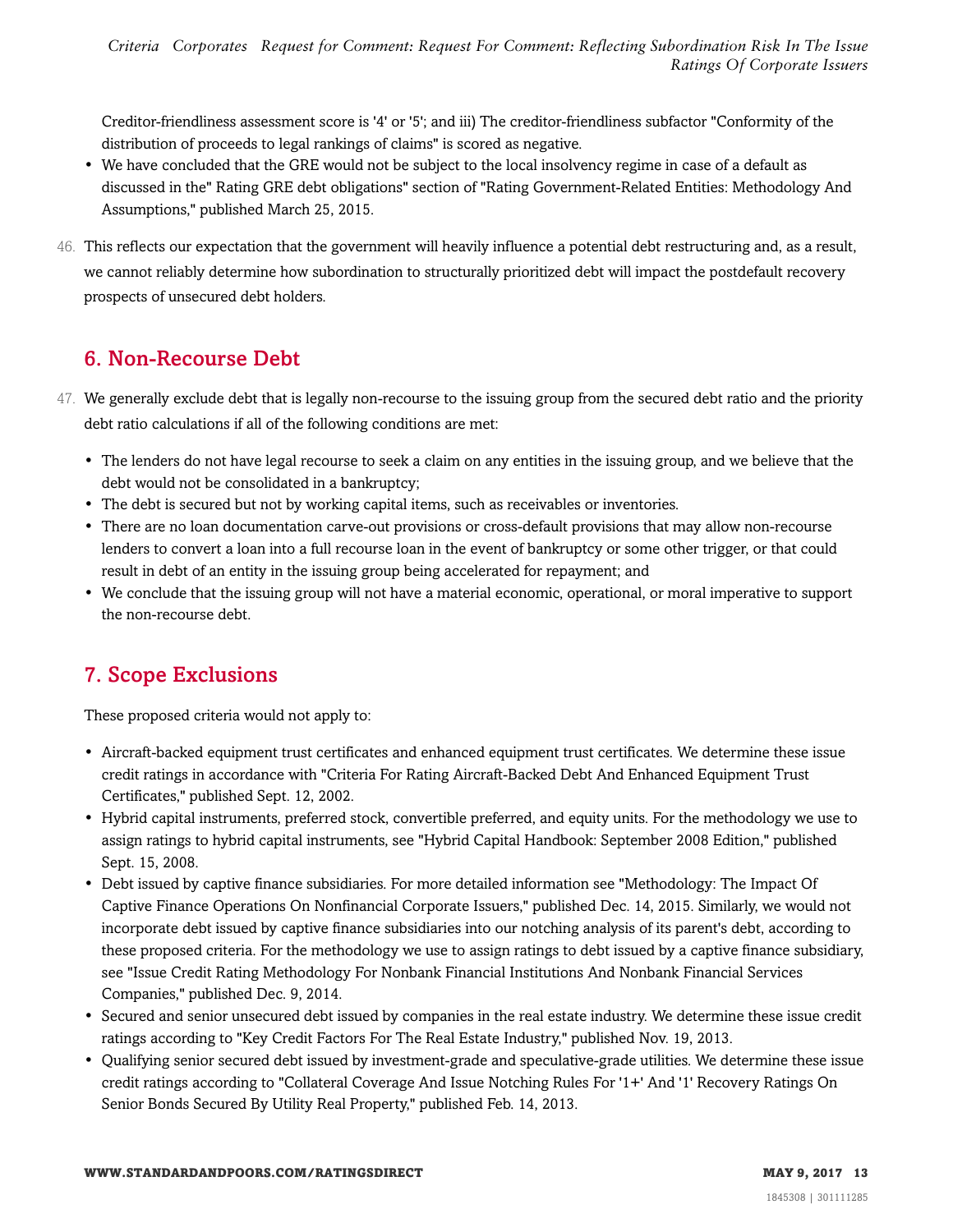Creditor-friendliness assessment score is '4' or '5'; and iii) The creditor-friendliness subfactor "Conformity of the distribution of proceeds to legal rankings of claims" is scored as negative.

- We have concluded that the GRE would not be subject to the local insolvency regime in case of a default as discussed in the" Rating GRE debt obligations" section of "Rating Government-Related Entities: Methodology And Assumptions," published March 25, 2015.
- 46. This reflects our expectation that the government will heavily influence a potential debt restructuring and, as a result, we cannot reliably determine how subordination to structurally prioritized debt will impact the postdefault recovery prospects of unsecured debt holders.

# <span id="page-12-0"></span>6. Non-Recourse Debt

- 47. We generally exclude debt that is legally non-recourse to the issuing group from the secured debt ratio and the priority debt ratio calculations if all of the following conditions are met:
	- The lenders do not have legal recourse to seek a claim on any entities in the issuing group, and we believe that the debt would not be consolidated in a bankruptcy;
	- The debt is secured but not by working capital items, such as receivables or inventories.
	- There are no loan documentation carve-out provisions or cross-default provisions that may allow non-recourse lenders to convert a loan into a full recourse loan in the event of bankruptcy or some other trigger, or that could result in debt of an entity in the issuing group being accelerated for repayment; and
	- We conclude that the issuing group will not have a material economic, operational, or moral imperative to support the non-recourse debt.

# <span id="page-12-1"></span>7. Scope Exclusions

These proposed criteria would not apply to:

- Aircraft-backed equipment trust certificates and enhanced equipment trust certificates. We determine these issue credit ratings in accordance with "Criteria For Rating Aircraft-Backed Debt And Enhanced Equipment Trust Certificates," published Sept. 12, 2002.
- Hybrid capital instruments, preferred stock, convertible preferred, and equity units. For the methodology we use to assign ratings to hybrid capital instruments, see "Hybrid Capital Handbook: September 2008 Edition," published Sept. 15, 2008.
- Debt issued by captive finance subsidiaries. For more detailed information see "Methodology: The Impact Of Captive Finance Operations On Nonfinancial Corporate Issuers," published Dec. 14, 2015. Similarly, we would not incorporate debt issued by captive finance subsidiaries into our notching analysis of its parent's debt, according to these proposed criteria. For the methodology we use to assign ratings to debt issued by a captive finance subsidiary, see "Issue Credit Rating Methodology For Nonbank Financial Institutions And Nonbank Financial Services Companies," published Dec. 9, 2014.
- Secured and senior unsecured debt issued by companies in the real estate industry. We determine these issue credit ratings according to "Key Credit Factors For The Real Estate Industry," published Nov. 19, 2013.
- Qualifying senior secured debt issued by investment-grade and speculative-grade utilities. We determine these issue credit ratings according to "Collateral Coverage And Issue Notching Rules For '1+' And '1' Recovery Ratings On Senior Bonds Secured By Utility Real Property," published Feb. 14, 2013.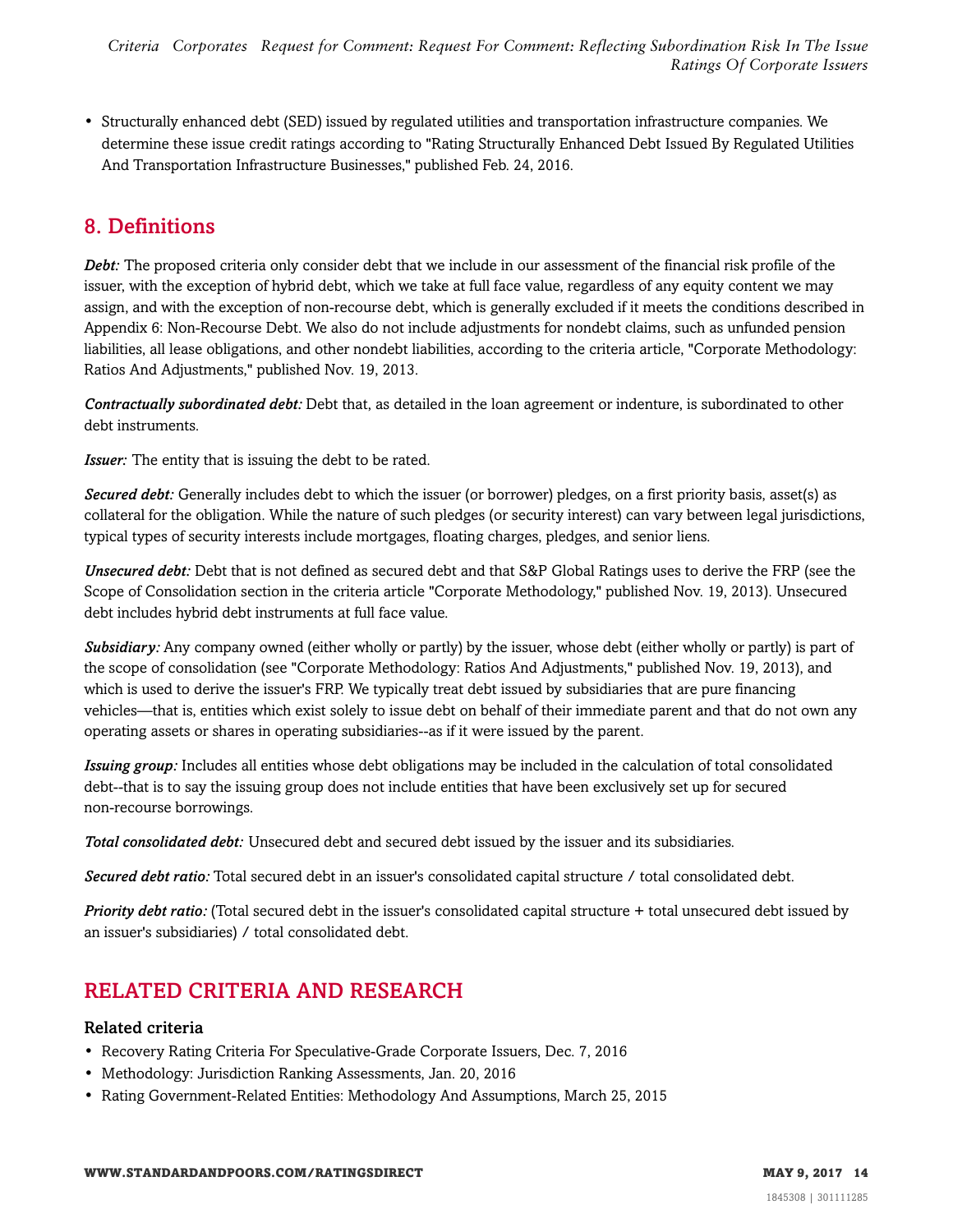• Structurally enhanced debt (SED) issued by regulated utilities and transportation infrastructure companies. We determine these issue credit ratings according to "Rating Structurally Enhanced Debt Issued By Regulated Utilities And Transportation Infrastructure Businesses," published Feb. 24, 2016.

# <span id="page-13-0"></span>8. Definitions

*Debt:* The proposed criteria only consider debt that we include in our assessment of the financial risk profile of the issuer, with the exception of hybrid debt, which we take at full face value, regardless of any equity content we may assign, and with the exception of non-recourse debt, which is generally excluded if it meets the conditions described in Appendix 6: Non-Recourse Debt. We also do not include adjustments for nondebt claims, such as unfunded pension liabilities, all lease obligations, and other nondebt liabilities, according to the criteria article, "Corporate Methodology: Ratios And Adjustments," published Nov. 19, 2013.

*Contractually subordinated debt:* Debt that, as detailed in the loan agreement or indenture, is subordinated to other debt instruments.

*Issuer:* The entity that is issuing the debt to be rated.

*Secured debt:* Generally includes debt to which the issuer (or borrower) pledges, on a first priority basis, asset(s) as collateral for the obligation. While the nature of such pledges (or security interest) can vary between legal jurisdictions, typical types of security interests include mortgages, floating charges, pledges, and senior liens.

*Unsecured debt:* Debt that is not defined as secured debt and that S&P Global Ratings uses to derive the FRP (see the Scope of Consolidation section in the criteria article "Corporate Methodology," published Nov. 19, 2013). Unsecured debt includes hybrid debt instruments at full face value.

*Subsidiary:* Any company owned (either wholly or partly) by the issuer, whose debt (either wholly or partly) is part of the scope of consolidation (see "Corporate Methodology: Ratios And Adjustments," published Nov. 19, 2013), and which is used to derive the issuer's FRP. We typically treat debt issued by subsidiaries that are pure financing vehicles—that is, entities which exist solely to issue debt on behalf of their immediate parent and that do not own any operating assets or shares in operating subsidiaries--as if it were issued by the parent.

*Issuing group:* Includes all entities whose debt obligations may be included in the calculation of total consolidated debt--that is to say the issuing group does not include entities that have been exclusively set up for secured non-recourse borrowings.

*Total consolidated debt:* Unsecured debt and secured debt issued by the issuer and its subsidiaries.

*Secured debt ratio:* Total secured debt in an issuer's consolidated capital structure / total consolidated debt.

*Priority debt ratio:* (Total secured debt in the issuer's consolidated capital structure + total unsecured debt issued by an issuer's subsidiaries) / total consolidated debt.

# <span id="page-13-1"></span>RELATED CRITERIA AND RESEARCH

## Related criteria

- Recovery Rating Criteria For Speculative-Grade Corporate Issuers, Dec. 7, 2016
- Methodology: Jurisdiction Ranking Assessments, Jan. 20, 2016
- Rating Government-Related Entities: Methodology And Assumptions, March 25, 2015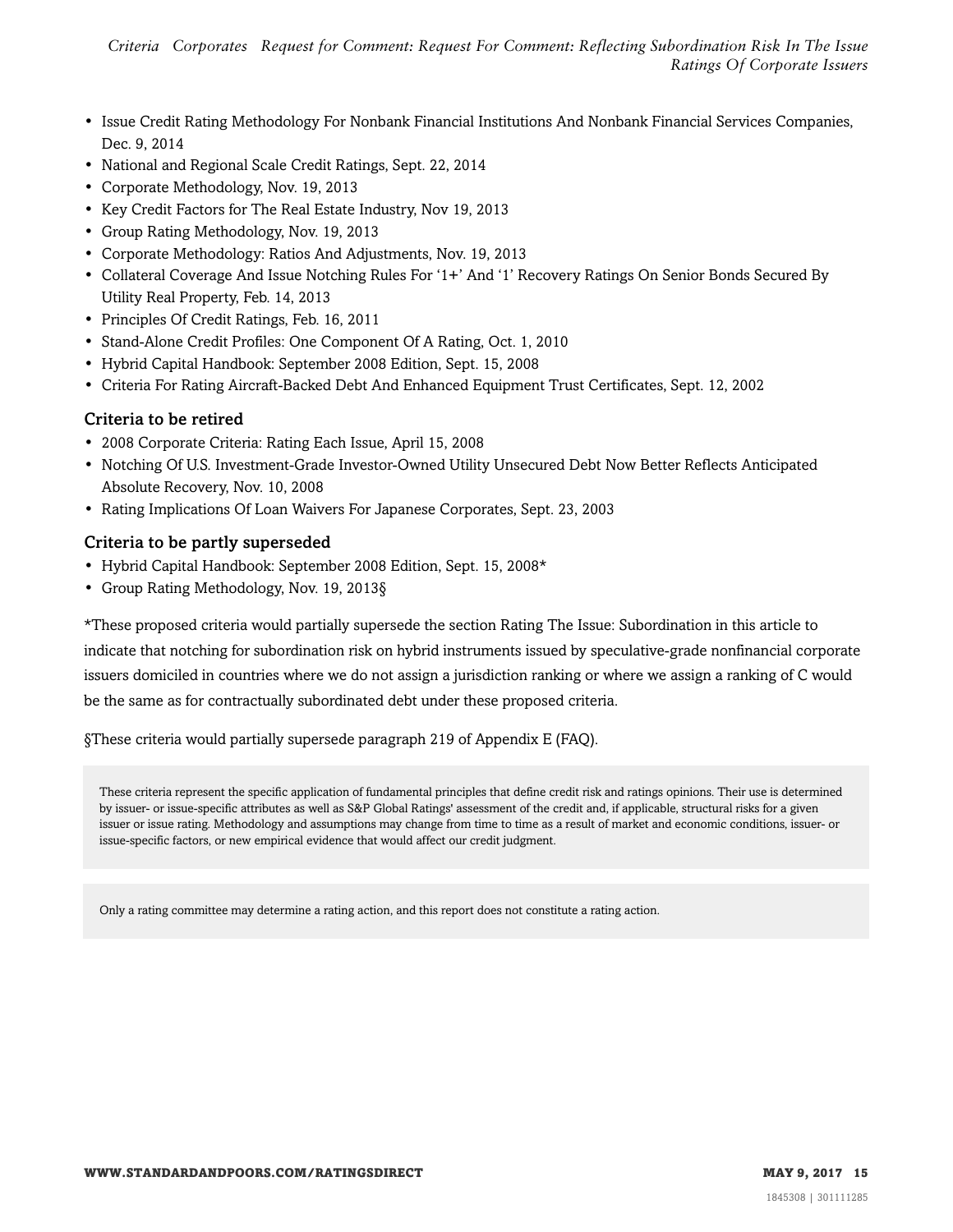*Criteria Corporates Request for Comment: Request For Comment: Reflecting Subordination Risk In The Issue Ratings Of Corporate Issuers*

- Issue Credit Rating Methodology For Nonbank Financial Institutions And Nonbank Financial Services Companies, Dec. 9, 2014
- National and Regional Scale Credit Ratings, Sept. 22, 2014
- Corporate Methodology, Nov. 19, 2013
- Key Credit Factors for The Real Estate Industry, Nov 19, 2013
- Group Rating Methodology, Nov. 19, 2013
- Corporate Methodology: Ratios And Adjustments, Nov. 19, 2013
- Collateral Coverage And Issue Notching Rules For '1+' And '1' Recovery Ratings On Senior Bonds Secured By Utility Real Property, Feb. 14, 2013
- Principles Of Credit Ratings, Feb. 16, 2011
- Stand-Alone Credit Profiles: One Component Of A Rating, Oct. 1, 2010
- Hybrid Capital Handbook: September 2008 Edition, Sept. 15, 2008
- Criteria For Rating Aircraft-Backed Debt And Enhanced Equipment Trust Certificates, Sept. 12, 2002

## Criteria to be retired

- 2008 Corporate Criteria: Rating Each Issue, April 15, 2008
- Notching Of U.S. Investment-Grade Investor-Owned Utility Unsecured Debt Now Better Reflects Anticipated Absolute Recovery, Nov. 10, 2008
- Rating Implications Of Loan Waivers For Japanese Corporates, Sept. 23, 2003

### Criteria to be partly superseded

- Hybrid Capital Handbook: September 2008 Edition, Sept. 15, 2008\*
- Group Rating Methodology, Nov. 19, 2013§

\*These proposed criteria would partially supersede the section Rating The Issue: Subordination in this article to indicate that notching for subordination risk on hybrid instruments issued by speculative-grade nonfinancial corporate issuers domiciled in countries where we do not assign a jurisdiction ranking or where we assign a ranking of C would be the same as for contractually subordinated debt under these proposed criteria.

§These criteria would partially supersede paragraph 219 of Appendix E (FAQ).

These criteria represent the specific application of fundamental principles that define credit risk and ratings opinions. Their use is determined by issuer- or issue-specific attributes as well as S&P Global Ratings' assessment of the credit and, if applicable, structural risks for a given issuer or issue rating. Methodology and assumptions may change from time to time as a result of market and economic conditions, issuer- or issue-specific factors, or new empirical evidence that would affect our credit judgment.

Only a rating committee may determine a rating action, and this report does not constitute a rating action.